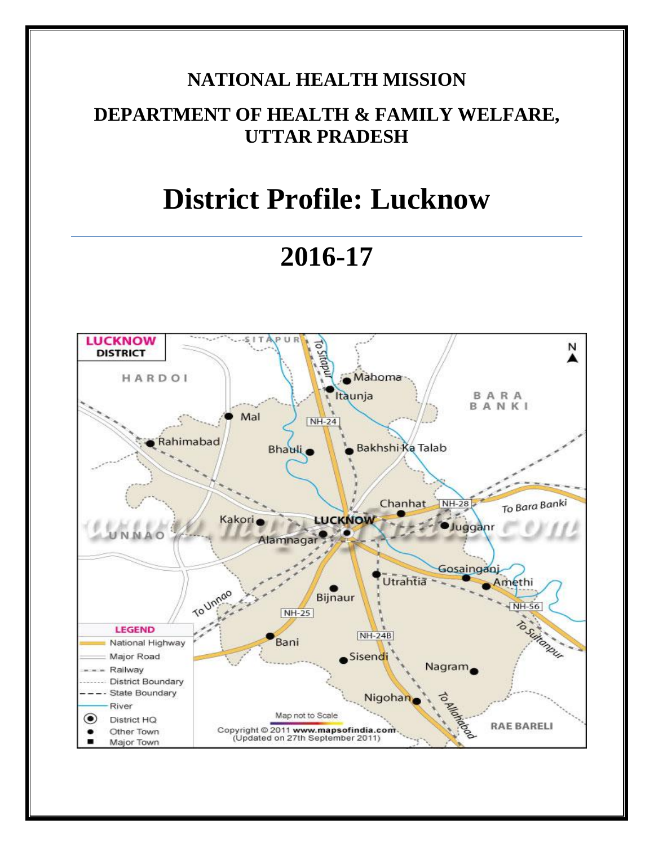# **NATIONAL HEALTH MISSION**

## **DEPARTMENT OF HEALTH & FAMILY WELFARE, UTTAR PRADESH**

# **District Profile: Lucknow**

**2016-17**

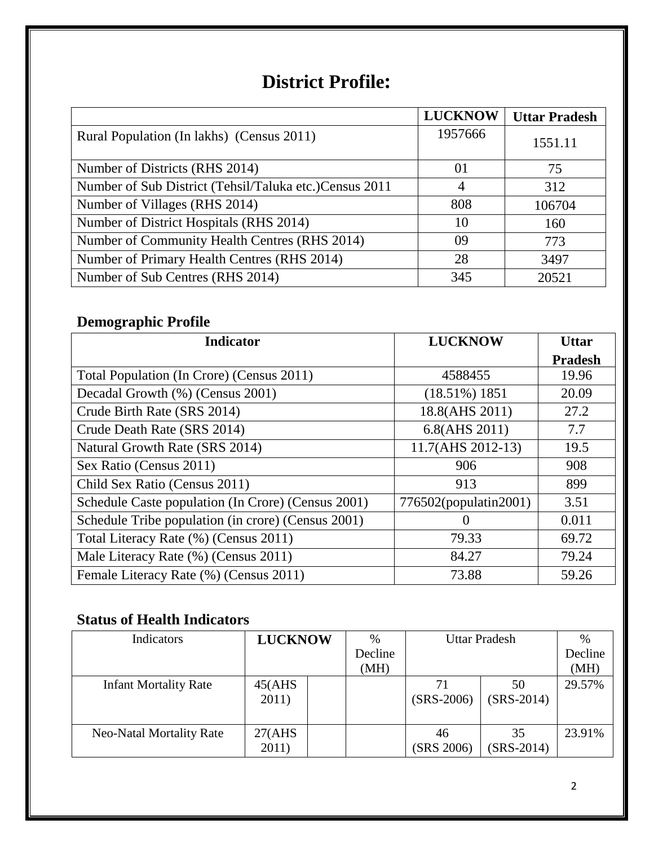# **District Profile:**

|                                                        | <b>LUCKNOW</b> | <b>Uttar Pradesh</b> |
|--------------------------------------------------------|----------------|----------------------|
| Rural Population (In lakhs) (Census 2011)              | 1957666        | 1551.11              |
| Number of Districts (RHS 2014)                         | 01             | 75                   |
| Number of Sub District (Tehsil/Taluka etc.)Census 2011 | 4              | 312                  |
| Number of Villages (RHS 2014)                          | 808            | 106704               |
| Number of District Hospitals (RHS 2014)                | 10             | 160                  |
| Number of Community Health Centres (RHS 2014)          | 09             | 773                  |
| Number of Primary Health Centres (RHS 2014)            | 28             | 3497                 |
| Number of Sub Centres (RHS 2014)                       | 345            | 20521                |

### **Demographic Profile**

| <b>Indicator</b>                                   | <b>LUCKNOW</b>        | <b>Uttar</b>   |
|----------------------------------------------------|-----------------------|----------------|
|                                                    |                       | <b>Pradesh</b> |
| Total Population (In Crore) (Census 2011)          | 4588455               | 19.96          |
| Decadal Growth (%) (Census 2001)                   | $(18.51\%) 1851$      | 20.09          |
| Crude Birth Rate (SRS 2014)                        | 18.8(AHS 2011)        | 27.2           |
| Crude Death Rate (SRS 2014)                        | 6.8(AHS 2011)         | 7.7            |
| Natural Growth Rate (SRS 2014)                     | 11.7(AHS 2012-13)     | 19.5           |
| Sex Ratio (Census 2011)                            | 906                   | 908            |
| Child Sex Ratio (Census 2011)                      | 913                   | 899            |
| Schedule Caste population (In Crore) (Census 2001) | 776502(populatin2001) | 3.51           |
| Schedule Tribe population (in crore) (Census 2001) | $\theta$              | 0.011          |
| Total Literacy Rate (%) (Census 2011)              | 79.33                 | 69.72          |
| Male Literacy Rate (%) (Census 2011)               | 84.27                 | 79.24          |
| Female Literacy Rate (%) (Census 2011)             | 73.88                 | 59.26          |

### **Status of Health Indicators**

| Indicators                      | <b>LUCKNOW</b>   | $\%$            |                  | <b>Uttar Pradesh</b> | $\%$            |
|---------------------------------|------------------|-----------------|------------------|----------------------|-----------------|
|                                 |                  | Decline<br>(MH) |                  |                      | Decline<br>(MH) |
| <b>Infant Mortality Rate</b>    | 45(AHS)<br>2011) |                 | $(SRS-2006)$     | 50<br>$(SRS-2014)$   | 29.57%          |
| <b>Neo-Natal Mortality Rate</b> | 27(AHS)<br>2011) |                 | 46<br>(SRS 2006) | 35<br>$(SRS-2014)$   | 23.91%          |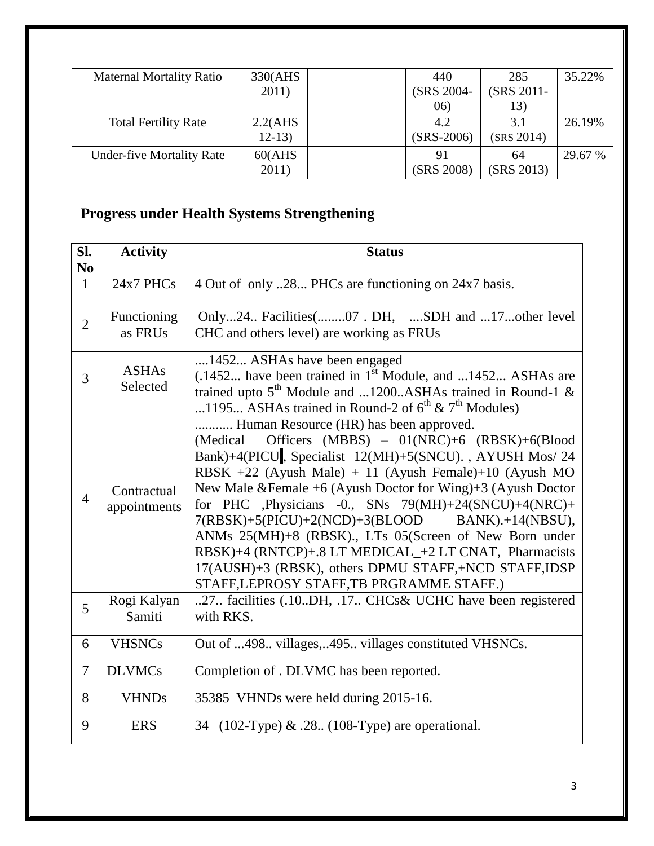| <b>Maternal Mortality Ratio</b>  | 330(AHS  | 440          | 285        | 35.22%  |
|----------------------------------|----------|--------------|------------|---------|
|                                  | 2011)    | (SRS 2004-   | (SRS 2011- |         |
|                                  |          | 06)          | 13)        |         |
| <b>Total Fertility Rate</b>      | 2.2(AHS) | 4.2          | 3.1        | 26.19%  |
|                                  | $12-13)$ | $(SRS-2006)$ | (SRS 2014) |         |
| <b>Under-five Mortality Rate</b> | 60(AHS)  | 91           | 64         | 29.67 % |
|                                  | 2011)    | (SRS 2008)   | (SRS 2013) |         |

# **Progress under Health Systems Strengthening**

| SI.<br>N <sub>0</sub> | <b>Activity</b>             | <b>Status</b>                                                                                                                                                                                                                                                                                                                                                                                                                                                                                                                                                                                                             |
|-----------------------|-----------------------------|---------------------------------------------------------------------------------------------------------------------------------------------------------------------------------------------------------------------------------------------------------------------------------------------------------------------------------------------------------------------------------------------------------------------------------------------------------------------------------------------------------------------------------------------------------------------------------------------------------------------------|
| $\mathbf{1}$          | 24x7 PHCs                   | 4 Out of only 28 PHCs are functioning on 24x7 basis.                                                                                                                                                                                                                                                                                                                                                                                                                                                                                                                                                                      |
| $\overline{2}$        | Functioning<br>as FRUs      | Only24 Facilities(07. DH, SDH and 17other level<br>CHC and others level) are working as FRUs                                                                                                                                                                                                                                                                                                                                                                                                                                                                                                                              |
| 3                     | <b>ASHAs</b><br>Selected    | 1452 ASHAs have been engaged<br>$(.1452$ have been trained in 1 <sup>st</sup> Module, and 1452 ASHAs are<br>trained upto $5^{th}$ Module and 1200ASHAs trained in Round-1 &<br>1195 ASHAs trained in Round-2 of $6^{th}$ & $7^{th}$ Modules)                                                                                                                                                                                                                                                                                                                                                                              |
| $\overline{4}$        | Contractual<br>appointments | Human Resource (HR) has been approved.<br>Officers (MBBS) - 01(NRC)+6 (RBSK)+6(Blood<br>(Medical)<br>Bank)+4(PICU, Specialist 12(MH)+5(SNCU)., AYUSH Mos/ 24<br>RBSK +22 (Ayush Male) + 11 (Ayush Female)+10 (Ayush MO<br>New Male & Female +6 (Ayush Doctor for Wing)+3 (Ayush Doctor<br>for PHC ,Physicians -0., SNs 79(MH)+24(SNCU)+4(NRC)+<br>7(RBSK)+5(PICU)+2(NCD)+3(BLOOD BANK).+14(NBSU),<br>ANMs 25(MH)+8 (RBSK)., LTs 05(Screen of New Born under<br>RBSK)+4 (RNTCP)+.8 LT MEDICAL_+2 LT CNAT, Pharmacists<br>17(AUSH)+3 (RBSK), others DPMU STAFF,+NCD STAFF,IDSP<br>STAFF, LEPROSY STAFF, TB PRGRAMME STAFF.) |
| 5                     | Rogi Kalyan<br>Samiti       | 27. facilities (.10DH, .17 CHCs& UCHC have been registered<br>with RKS.                                                                                                                                                                                                                                                                                                                                                                                                                                                                                                                                                   |
| 6                     | <b>VHSNCs</b>               | Out of 498 villages,495 villages constituted VHSNCs.                                                                                                                                                                                                                                                                                                                                                                                                                                                                                                                                                                      |
| 7                     | <b>DLVMCs</b>               | Completion of . DLVMC has been reported.                                                                                                                                                                                                                                                                                                                                                                                                                                                                                                                                                                                  |
| 8                     | <b>VHNDs</b>                | 35385 VHNDs were held during 2015-16.                                                                                                                                                                                                                                                                                                                                                                                                                                                                                                                                                                                     |
| 9                     | <b>ERS</b>                  | 34 (102-Type) & .28 (108-Type) are operational.                                                                                                                                                                                                                                                                                                                                                                                                                                                                                                                                                                           |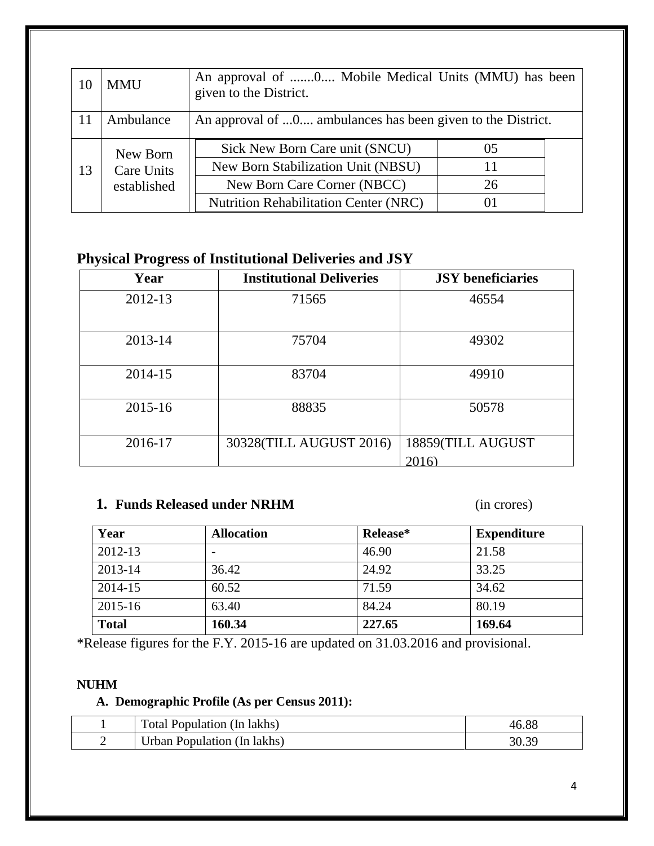| 10 | <b>MMU</b>        | An approval of 0 Mobile Medical Units (MMU) has been<br>given to the District. |       |  |
|----|-------------------|--------------------------------------------------------------------------------|-------|--|
|    | Ambulance         | An approval of 0 ambulances has been given to the District.                    |       |  |
|    | New Born          | Sick New Born Care unit (SNCU)                                                 | 05    |  |
| 13 | <b>Care Units</b> | New Born Stabilization Unit (NBSU)                                             |       |  |
|    | established       | New Born Care Corner (NBCC)                                                    | 26    |  |
|    |                   | <b>Nutrition Rehabilitation Center (NRC)</b>                                   | ( ) 1 |  |

### **Physical Progress of Institutional Deliveries and JSY**

| Year        | <b>Institutional Deliveries</b> | <b>JSY</b> beneficiaries  |
|-------------|---------------------------------|---------------------------|
| 2012-13     | 71565                           | 46554                     |
| 2013-14     | 75704                           | 49302                     |
| 2014-15     | 83704                           | 49910                     |
| $2015 - 16$ | 88835                           | 50578                     |
| 2016-17     | 30328(TILL AUGUST 2016)         | 18859(TILL AUGUST<br>2016 |

#### **1. Funds Released under NRHM** (in crores)

| Year         | <b>Allocation</b>        | Release* | <b>Expenditure</b> |
|--------------|--------------------------|----------|--------------------|
| 2012-13      | $\overline{\phantom{0}}$ | 46.90    | 21.58              |
| 2013-14      | 36.42                    | 24.92    | 33.25              |
| 2014-15      | 60.52                    | 71.59    | 34.62              |
| 2015-16      | 63.40                    | 84.24    | 80.19              |
| <b>Total</b> | 160.34                   | 227.65   | 169.64             |

\*Release figures for the F.Y. 2015-16 are updated on 31.03.2016 and provisional.

#### **NUHM**

#### **A. Demographic Profile (As per Census 2011):**

| Total Population (In lakhs) | 46.88 |
|-----------------------------|-------|
| Urban Population (In lakhs) |       |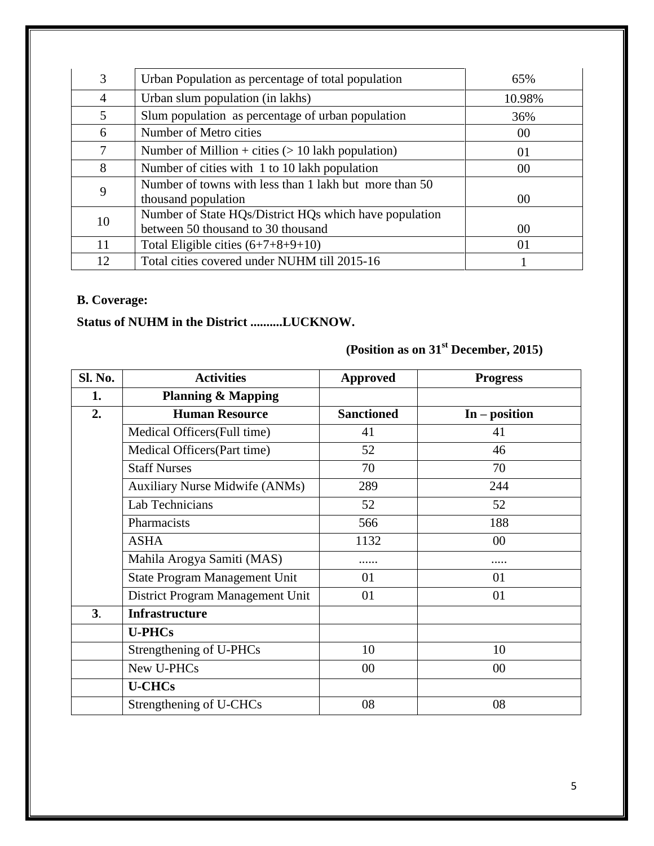| 3              | Urban Population as percentage of total population                                           | 65%    |
|----------------|----------------------------------------------------------------------------------------------|--------|
| $\overline{4}$ | Urban slum population (in lakhs)                                                             | 10.98% |
| 5              | Slum population as percentage of urban population                                            | 36%    |
| 6              | Number of Metro cities                                                                       | 00     |
| 7              | Number of Million + cities $(> 10$ lakh population)                                          | 01     |
| 8              | Number of cities with 1 to 10 lakh population                                                | 00     |
| 9              | Number of towns with less than 1 lakh but more than 50<br>thousand population                | 00     |
| 10             | Number of State HQs/District HQs which have population<br>between 50 thousand to 30 thousand | 00     |
| 11             | Total Eligible cities $(6+7+8+9+10)$                                                         | 01     |
| 12             | Total cities covered under NUHM till 2015-16                                                 |        |

#### **B. Coverage:**

### **Status of NUHM in the District ..........LUCKNOW.**

## **(Position as on 31st December, 2015)**

| Sl. No.        | <b>Activities</b>                     | <b>Approved</b>   | <b>Progress</b> |
|----------------|---------------------------------------|-------------------|-----------------|
| 1.             | <b>Planning &amp; Mapping</b>         |                   |                 |
| 2.             | <b>Human Resource</b>                 | <b>Sanctioned</b> | $In - position$ |
|                | Medical Officers (Full time)          | 41                | 41              |
|                | Medical Officers (Part time)          | 52                | 46              |
|                | <b>Staff Nurses</b>                   | 70                | 70              |
|                | <b>Auxiliary Nurse Midwife (ANMs)</b> | 289               | 244             |
|                | Lab Technicians                       | 52                | 52              |
|                | Pharmacists                           | 566               | 188             |
|                | <b>ASHA</b>                           | 1132              | 00              |
|                | Mahila Arogya Samiti (MAS)            |                   |                 |
|                | <b>State Program Management Unit</b>  | 01                | 01              |
|                | District Program Management Unit      | 01                | 01              |
| 3 <sub>l</sub> | <b>Infrastructure</b>                 |                   |                 |
|                | <b>U-PHCs</b>                         |                   |                 |
|                | Strengthening of U-PHCs               | 10                | 10              |
|                | New U-PHCs                            | $00\,$            | 00              |
|                | <b>U-CHCs</b>                         |                   |                 |
|                | Strengthening of U-CHCs               | 08                | 08              |